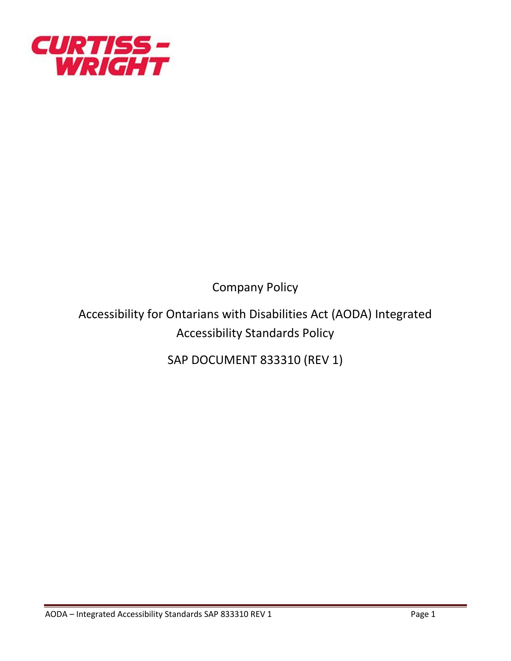

Company Policy

Accessibility for Ontarians with Disabilities Act (AODA) Integrated Accessibility Standards Policy

SAP DOCUMENT 833310 (REV 1)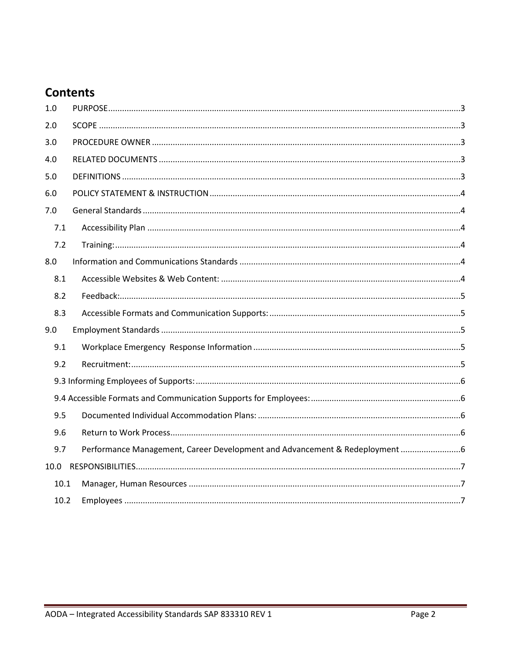# **Contents**

| 7.2  |                                                                           |
|------|---------------------------------------------------------------------------|
|      |                                                                           |
|      |                                                                           |
| 8.2  |                                                                           |
| 8.3  |                                                                           |
|      |                                                                           |
|      |                                                                           |
| 9.2  |                                                                           |
|      |                                                                           |
|      |                                                                           |
| 9.5  |                                                                           |
| 9.6  |                                                                           |
|      |                                                                           |
|      |                                                                           |
| 10.1 |                                                                           |
| 10.2 |                                                                           |
|      | Performance Management, Career Development and Advancement & Redeployment |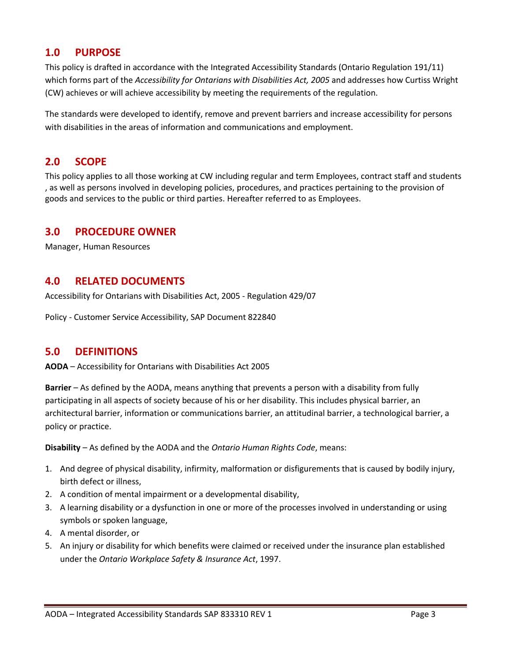## <span id="page-2-0"></span>**1.0 PURPOSE**

This policy is drafted in accordance with the Integrated Accessibility Standards (Ontario Regulation 191/11) which forms part of the *Accessibility for Ontarians with Disabilities Act, 2005* and addresses how Curtiss Wright (CW) achieves or will achieve accessibility by meeting the requirements of the regulation.

The standards were developed to identify, remove and prevent barriers and increase accessibility for persons with disabilities in the areas of information and communications and employment.

## <span id="page-2-1"></span>**2.0 SCOPE**

This policy applies to all those working at CW including regular and term Employees, contract staff and students , as well as persons involved in developing policies, procedures, and practices pertaining to the provision of goods and services to the public or third parties. Hereafter referred to as Employees.

## <span id="page-2-2"></span>**3.0 PROCEDURE OWNER**

Manager, Human Resources

## <span id="page-2-3"></span>**4.0 RELATED DOCUMENTS**

Accessibility for Ontarians with Disabilities Act, 2005 - Regulation 429/07

Policy - Customer Service Accessibility, SAP Document 822840

## <span id="page-2-4"></span>**5.0 DEFINITIONS**

**AODA** – Accessibility for Ontarians with Disabilities Act 2005

**Barrier** – As defined by the AODA, means anything that prevents a person with a disability from fully participating in all aspects of society because of his or her disability. This includes physical barrier, an architectural barrier, information or communications barrier, an attitudinal barrier, a technological barrier, a policy or practice.

**Disability** – As defined by the AODA and the *Ontario Human Rights Code*, means:

- 1. And degree of physical disability, infirmity, malformation or disfigurements that is caused by bodily injury, birth defect or illness,
- 2. A condition of mental impairment or a developmental disability,
- 3. A learning disability or a dysfunction in one or more of the processes involved in understanding or using symbols or spoken language,
- 4. A mental disorder, or
- 5. An injury or disability for which benefits were claimed or received under the insurance plan established under the *Ontario Workplace Safety & Insurance Act*, 1997.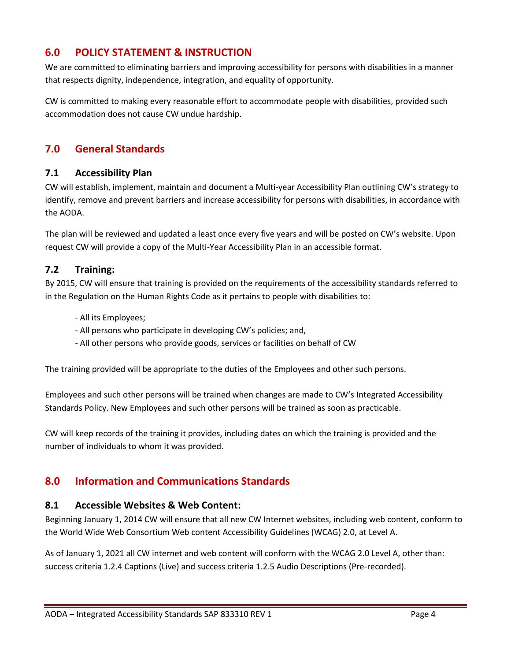# <span id="page-3-0"></span>**6.0 POLICY STATEMENT & INSTRUCTION**

We are committed to eliminating barriers and improving accessibility for persons with disabilities in a manner that respects dignity, independence, integration, and equality of opportunity.

CW is committed to making every reasonable effort to accommodate people with disabilities, provided such accommodation does not cause CW undue hardship.

# <span id="page-3-1"></span>**7.0 General Standards**

#### <span id="page-3-2"></span>**7.1 Accessibility Plan**

CW will establish, implement, maintain and document a Multi-year Accessibility Plan outlining CW's strategy to identify, remove and prevent barriers and increase accessibility for persons with disabilities, in accordance with the AODA.

The plan will be reviewed and updated a least once every five years and will be posted on CW's website. Upon request CW will provide a copy of the Multi-Year Accessibility Plan in an accessible format.

#### <span id="page-3-3"></span>**7.2 Training:**

By 2015, CW will ensure that training is provided on the requirements of the accessibility standards referred to in the Regulation on the Human Rights Code as it pertains to people with disabilities to:

- All its Employees;
- All persons who participate in developing CW's policies; and,
- All other persons who provide goods, services or facilities on behalf of CW

The training provided will be appropriate to the duties of the Employees and other such persons.

Employees and such other persons will be trained when changes are made to CW's Integrated Accessibility Standards Policy. New Employees and such other persons will be trained as soon as practicable.

CW will keep records of the training it provides, including dates on which the training is provided and the number of individuals to whom it was provided.

## <span id="page-3-4"></span>**8.0 Information and Communications Standards**

#### <span id="page-3-5"></span>**8.1 Accessible Websites & Web Content:**

Beginning January 1, 2014 CW will ensure that all new CW Internet websites, including web content, conform to the World Wide Web Consortium Web content Accessibility Guidelines (WCAG) 2.0, at Level A.

As of January 1, 2021 all CW internet and web content will conform with the WCAG 2.0 Level A, other than: success criteria 1.2.4 Captions (Live) and success criteria 1.2.5 Audio Descriptions (Pre-recorded).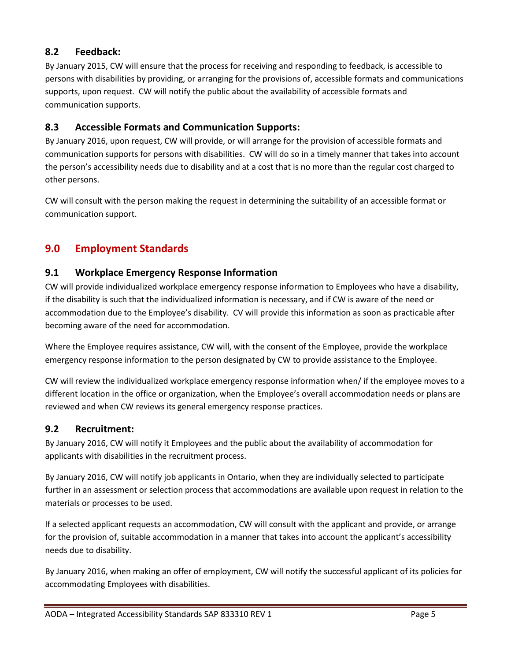## <span id="page-4-0"></span>**8.2 Feedback:**

By January 2015, CW will ensure that the process for receiving and responding to feedback, is accessible to persons with disabilities by providing, or arranging for the provisions of, accessible formats and communications supports, upon request. CW will notify the public about the availability of accessible formats and communication supports.

## <span id="page-4-1"></span>**8.3 Accessible Formats and Communication Supports:**

By January 2016, upon request, CW will provide, or will arrange for the provision of accessible formats and communication supports for persons with disabilities. CW will do so in a timely manner that takes into account the person's accessibility needs due to disability and at a cost that is no more than the regular cost charged to other persons.

CW will consult with the person making the request in determining the suitability of an accessible format or communication support.

# <span id="page-4-2"></span>**9.0 Employment Standards**

## <span id="page-4-3"></span>**9.1 Workplace Emergency Response Information**

CW will provide individualized workplace emergency response information to Employees who have a disability, if the disability is such that the individualized information is necessary, and if CW is aware of the need or accommodation due to the Employee's disability. CV will provide this information as soon as practicable after becoming aware of the need for accommodation.

Where the Employee requires assistance, CW will, with the consent of the Employee, provide the workplace emergency response information to the person designated by CW to provide assistance to the Employee.

CW will review the individualized workplace emergency response information when/ if the employee moves to a different location in the office or organization, when the Employee's overall accommodation needs or plans are reviewed and when CW reviews its general emergency response practices.

## <span id="page-4-4"></span>**9.2 Recruitment:**

By January 2016, CW will notify it Employees and the public about the availability of accommodation for applicants with disabilities in the recruitment process.

By January 2016, CW will notify job applicants in Ontario, when they are individually selected to participate further in an assessment or selection process that accommodations are available upon request in relation to the materials or processes to be used.

If a selected applicant requests an accommodation, CW will consult with the applicant and provide, or arrange for the provision of, suitable accommodation in a manner that takes into account the applicant's accessibility needs due to disability.

By January 2016, when making an offer of employment, CW will notify the successful applicant of its policies for accommodating Employees with disabilities.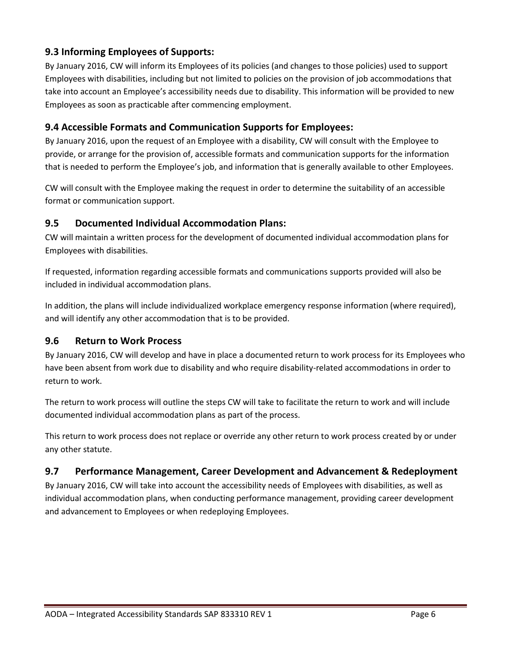## <span id="page-5-0"></span>**9.3 Informing Employees of Supports:**

By January 2016, CW will inform its Employees of its policies (and changes to those policies) used to support Employees with disabilities, including but not limited to policies on the provision of job accommodations that take into account an Employee's accessibility needs due to disability. This information will be provided to new Employees as soon as practicable after commencing employment.

#### <span id="page-5-1"></span>**9.4 Accessible Formats and Communication Supports for Employees:**

By January 2016, upon the request of an Employee with a disability, CW will consult with the Employee to provide, or arrange for the provision of, accessible formats and communication supports for the information that is needed to perform the Employee's job, and information that is generally available to other Employees.

CW will consult with the Employee making the request in order to determine the suitability of an accessible format or communication support.

#### <span id="page-5-2"></span>**9.5 Documented Individual Accommodation Plans:**

CW will maintain a written process for the development of documented individual accommodation plans for Employees with disabilities.

If requested, information regarding accessible formats and communications supports provided will also be included in individual accommodation plans.

In addition, the plans will include individualized workplace emergency response information (where required), and will identify any other accommodation that is to be provided.

#### <span id="page-5-3"></span>**9.6 Return to Work Process**

By January 2016, CW will develop and have in place a documented return to work process for its Employees who have been absent from work due to disability and who require disability-related accommodations in order to return to work.

The return to work process will outline the steps CW will take to facilitate the return to work and will include documented individual accommodation plans as part of the process.

This return to work process does not replace or override any other return to work process created by or under any other statute.

## <span id="page-5-4"></span>**9.7 Performance Management, Career Development and Advancement & Redeployment**

By January 2016, CW will take into account the accessibility needs of Employees with disabilities, as well as individual accommodation plans, when conducting performance management, providing career development and advancement to Employees or when redeploying Employees.